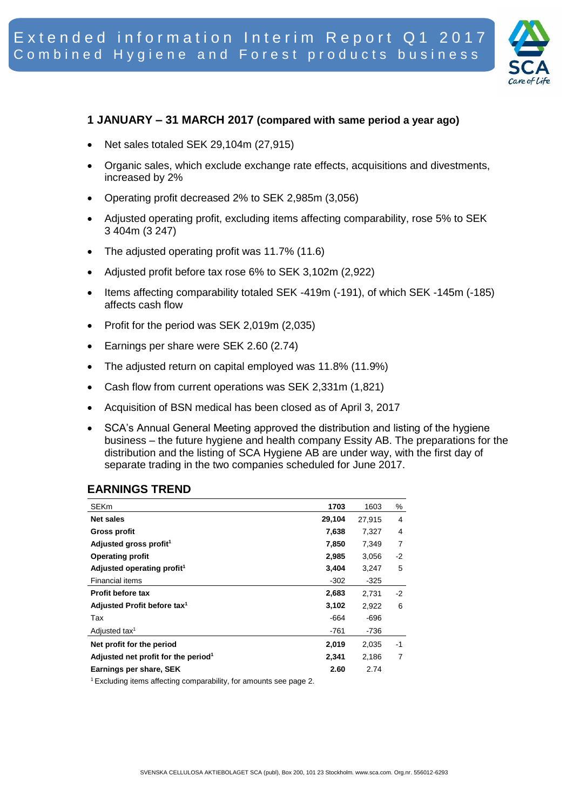

#### **1 JANUARY – 31 MARCH 2017 (compared with same period a year ago)**

- Net sales totaled SEK 29,104m (27,915)
- Organic sales, which exclude exchange rate effects, acquisitions and divestments, increased by 2%
- Operating profit decreased 2% to SEK 2,985m (3,056)
- Adjusted operating profit, excluding items affecting comparability, rose 5% to SEK 3 404m (3 247)
- The adjusted operating profit was 11.7% (11.6)
- Adjusted profit before tax rose 6% to SEK 3,102m (2,922)
- Items affecting comparability totaled SEK -419m (-191), of which SEK -145m (-185) affects cash flow
- Profit for the period was SEK  $2,019$ m  $(2,035)$
- Earnings per share were SEK 2.60 (2.74)
- The adjusted return on capital employed was 11.8% (11.9%)
- Cash flow from current operations was SEK 2,331m (1,821)
- Acquisition of BSN medical has been closed as of April 3, 2017
- SCA's Annual General Meeting approved the distribution and listing of the hygiene business – the future hygiene and health company Essity AB. The preparations for the distribution and the listing of SCA Hygiene AB are under way, with the first day of separate trading in the two companies scheduled for June 2017.

#### **EARNINGS TREND**

| <b>SEKm</b>                                     | 1703   | 1603   | %    |
|-------------------------------------------------|--------|--------|------|
| Net sales                                       | 29,104 | 27,915 | 4    |
| Gross profit                                    | 7,638  | 7,327  | 4    |
| Adjusted gross profit <sup>1</sup>              | 7,850  | 7,349  | 7    |
| Operating profit                                | 2,985  | 3,056  | -2   |
| Adjusted operating profit <sup>1</sup>          | 3,404  | 3,247  | 5    |
| <b>Financial items</b>                          | $-302$ | $-325$ |      |
| Profit before tax                               | 2,683  | 2,731  | $-2$ |
| Adjusted Profit before tax <sup>1</sup>         | 3,102  | 2,922  | 6    |
| Tax                                             | -664   | -696   |      |
| Adjusted tax <sup>1</sup>                       | -761   | -736   |      |
| Net profit for the period                       | 2,019  | 2,035  | -1   |
| Adjusted net profit for the period <sup>1</sup> | 2,341  | 2,186  | 7    |
| Earnings per share, SEK                         | 2.60   | 2.74   |      |

1 Excluding items affecting comparability, for amounts see page 2.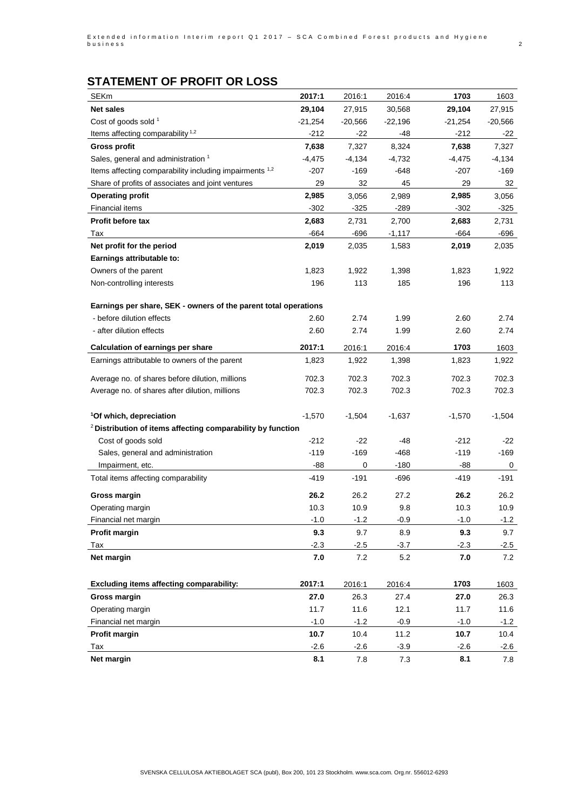# **STATEMENT OF PROFIT OR LOSS**

| <b>SEKm</b>                                                            | 2017:1    | 2016:1    | 2016:4    | 1703      | 1603      |
|------------------------------------------------------------------------|-----------|-----------|-----------|-----------|-----------|
| Net sales                                                              | 29,104    | 27,915    | 30,568    | 29,104    | 27,915    |
| Cost of goods sold 1                                                   | $-21,254$ | $-20,566$ | $-22,196$ | $-21,254$ | $-20,566$ |
| Items affecting comparability <sup>1,2</sup>                           | $-212$    | -22       | -48       | $-212$    | -22       |
| Gross profit                                                           | 7,638     | 7,327     | 8,324     | 7,638     | 7,327     |
| Sales, general and administration <sup>1</sup>                         | $-4,475$  | $-4,134$  | $-4,732$  | $-4,475$  | $-4,134$  |
| Items affecting comparability including impairments 1,2                | -207      | -169      | -648      | $-207$    | $-169$    |
| Share of profits of associates and joint ventures                      | 29        | 32        | 45        | 29        | 32        |
| Operating profit                                                       | 2,985     | 3,056     | 2,989     | 2,985     | 3,056     |
| <b>Financial items</b>                                                 | $-302$    | $-325$    | -289      | $-302$    | -325      |
| Profit before tax                                                      | 2,683     | 2,731     | 2,700     | 2,683     | 2,731     |
| Tax                                                                    | -664      | -696      | $-1,117$  | -664      | -696      |
| Net profit for the period                                              | 2,019     | 2,035     | 1,583     | 2,019     | 2,035     |
| Earnings attributable to:                                              |           |           |           |           |           |
| Owners of the parent                                                   | 1,823     | 1,922     | 1,398     | 1,823     | 1,922     |
| Non-controlling interests                                              | 196       | 113       | 185       | 196       | 113       |
|                                                                        |           |           |           |           |           |
| Earnings per share, SEK - owners of the parent total operations        |           |           |           |           |           |
| - before dilution effects                                              | 2.60      | 2.74      | 1.99      | 2.60      | 2.74      |
| - after dilution effects                                               | 2.60      | 2.74      | 1.99      | 2.60      | 2.74      |
| Calculation of earnings per share                                      | 2017:1    | 2016:1    | 2016:4    | 1703      | 1603      |
| Earnings attributable to owners of the parent                          | 1,823     | 1,922     | 1,398     | 1,823     | 1,922     |
| Average no. of shares before dilution, millions                        | 702.3     | 702.3     | 702.3     | 702.3     | 702.3     |
| Average no. of shares after dilution, millions                         | 702.3     | 702.3     | 702.3     | 702.3     | 702.3     |
|                                                                        |           |           |           |           |           |
| <sup>1</sup> Of which, depreciation                                    | $-1,570$  | $-1,504$  | $-1,637$  | $-1,570$  | $-1,504$  |
| <sup>2</sup> Distribution of items affecting comparability by function |           |           |           |           |           |
| Cost of goods sold                                                     | $-212$    | $-22$     | -48       | $-212$    | -22       |
| Sales, general and administration                                      | $-119$    | $-169$    | $-468$    | $-119$    | $-169$    |
| Impairment, etc.                                                       | -88       | 0         | $-180$    | -88       | 0         |
| Total items affecting comparability                                    | $-419$    | $-191$    | -696      | $-419$    | -191      |
| Gross margin                                                           | 26.2      | 26.2      | 27.2      | 26.2      | 26.2      |
| Operating margin                                                       | 10.3      | 10.9      | 9.8       | 10.3      | 10.9      |
| Financial net margin                                                   | $-1.0$    | $-1.2$    | 0.9       | $-1.0$    | $-1.2$    |
| Profit margin                                                          | 9.3       | 9.7       | 8.9       | 9.3       | 9.7       |
| Tax                                                                    | $-2.3$    | $-2.5$    | $-3.7$    | $-2.3$    | $-2.5$    |
| Net margin                                                             | 7.0       | 7.2       | 5.2       | 7.0       | 7.2       |
|                                                                        |           |           |           |           |           |
| Excluding items affecting comparability:                               | 2017:1    | 2016:1    | 2016:4    | 1703      | 1603      |
| <b>Gross margin</b>                                                    | 27.0      | 26.3      | 27.4      | 27.0      | 26.3      |
| Operating margin                                                       | 11.7      | 11.6      | 12.1      | 11.7      | 11.6      |
| Financial net margin                                                   | $-1.0$    | $-1.2$    | $-0.9$    | $-1.0$    | $-1.2$    |
| Profit margin                                                          | 10.7      | 10.4      | 11.2      | 10.7      | 10.4      |
| Tax                                                                    | $-2.6$    | $-2.6$    | $-3.9$    | $-2.6$    | $-2.6$    |
| Net margin                                                             | 8.1       | 7.8       | $7.3$     | 8.1       | 7.8       |
|                                                                        |           |           |           |           |           |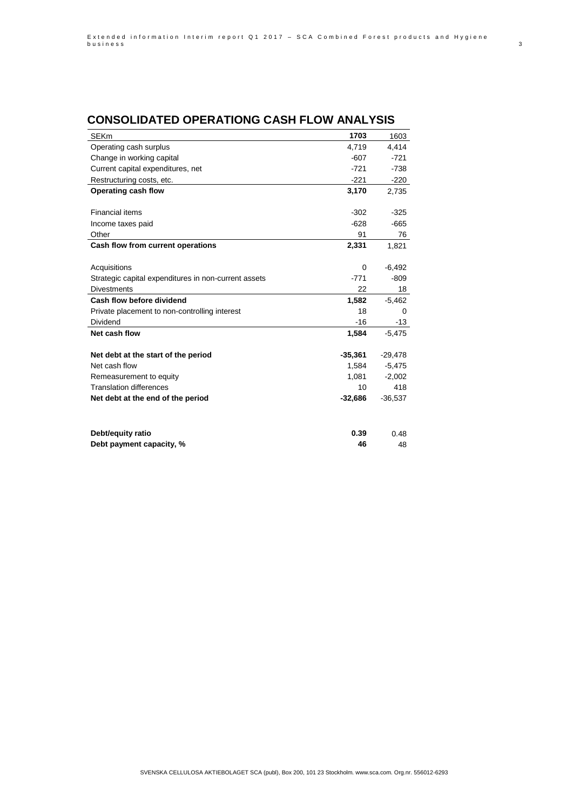#### **CONSOLIDATED OPERATIONG CASH FLOW ANALYSIS**

| <b>SEKm</b>                                          | 1703      | 1603      |
|------------------------------------------------------|-----------|-----------|
| Operating cash surplus                               | 4,719     | 4,414     |
| Change in working capital                            | $-607$    | $-721$    |
| Current capital expenditures, net                    | $-721$    | $-738$    |
| Restructuring costs, etc.                            | $-221$    | $-220$    |
| Operating cash flow                                  | 3,170     | 2,735     |
|                                                      |           |           |
| <b>Financial items</b>                               | $-302$    | $-325$    |
| Income taxes paid                                    | $-628$    | $-665$    |
| Other                                                | 91        | 76        |
| Cash flow from current operations                    | 2,331     | 1,821     |
|                                                      |           |           |
| Acquisitions                                         | 0         | $-6,492$  |
| Strategic capital expenditures in non-current assets | $-771$    | $-809$    |
| <b>Divestments</b>                                   | 22        | 18        |
| Cash flow before dividend                            | 1,582     | $-5,462$  |
| Private placement to non-controlling interest        | 18        | 0         |
| <b>Dividend</b>                                      | $-16$     | $-13$     |
| Net cash flow                                        | 1,584     | $-5,475$  |
|                                                      |           |           |
| Net debt at the start of the period                  | $-35,361$ | $-29,478$ |
| Net cash flow                                        | 1,584     | $-5,475$  |
| Remeasurement to equity                              | 1,081     | $-2,002$  |
| <b>Translation differences</b>                       | 10        | 418       |
| Net debt at the end of the period                    | $-32,686$ | $-36,537$ |
|                                                      |           |           |
| Debt/equity ratio                                    | 0.39      | 0.48      |
| Debt payment capacity, %                             | 46        | 48        |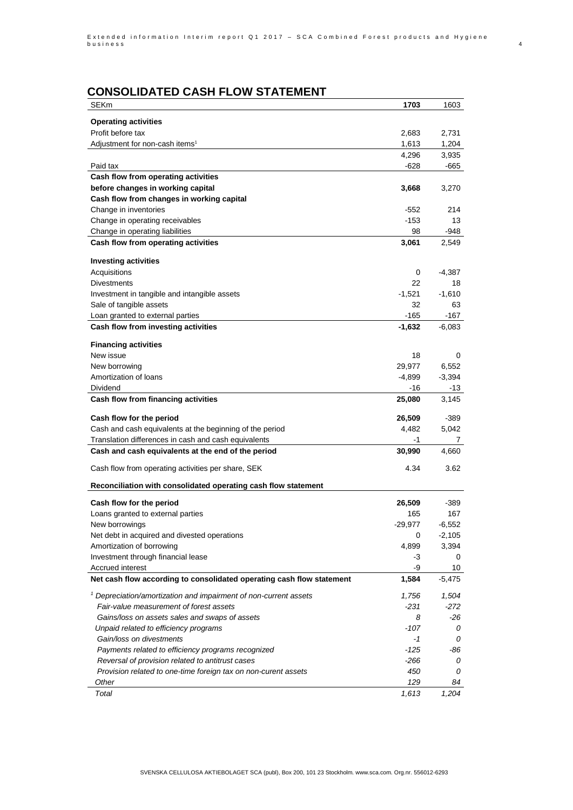## **CONSOLIDATED CASH FLOW STATEMENT**

| <b>SEKm</b>                                                                 | 1703            | 1603          |
|-----------------------------------------------------------------------------|-----------------|---------------|
|                                                                             |                 |               |
| <b>Operating activities</b><br>Profit before tax                            |                 |               |
|                                                                             | 2,683           | 2,731         |
| Adjustment for non-cash items <sup>1</sup>                                  | 1,613           | 1,204         |
| Paid tax                                                                    | 4,296<br>-628   | 3,935<br>-665 |
| Cash flow from operating activities                                         |                 |               |
| before changes in working capital                                           | 3,668           | 3,270         |
| Cash flow from changes in working capital                                   |                 |               |
| Change in inventories                                                       | $-552$          | 214           |
| Change in operating receivables                                             | $-153$          | 13            |
| Change in operating liabilities                                             | 98              | -948          |
| Cash flow from operating activities                                         | 3,061           | 2,549         |
|                                                                             |                 |               |
| <b>Investing activities</b>                                                 |                 |               |
| Acquisitions                                                                | 0               | -4,387        |
| <b>Divestments</b>                                                          | 22              | 18            |
| Investment in tangible and intangible assets                                | $-1,521$        | $-1,610$      |
| Sale of tangible assets                                                     | 32              | 63            |
| Loan granted to external parties                                            | $-165$          | -167          |
| Cash flow from investing activities                                         | $-1,632$        | $-6,083$      |
|                                                                             |                 |               |
| <b>Financing activities</b><br>New issue                                    | 18              |               |
|                                                                             |                 | 0             |
| New borrowing<br>Amortization of loans                                      | 29,977          | 6,552         |
| Dividend                                                                    | $-4,899$<br>-16 | $-3,394$      |
| Cash flow from financing activities                                         | 25,080          | -13<br>3,145  |
|                                                                             |                 |               |
| Cash flow for the period                                                    | 26,509          | -389          |
| Cash and cash equivalents at the beginning of the period                    | 4,482           | 5,042         |
| Translation differences in cash and cash equivalents                        | -1              | 7             |
| Cash and cash equivalents at the end of the period                          | 30,990          | 4,660         |
|                                                                             |                 |               |
| Cash flow from operating activities per share, SEK                          | 4.34            | 3.62          |
| Reconciliation with consolidated operating cash flow statement              |                 |               |
| Cash flow for the period                                                    | 26,509          | -389          |
| Loans granted to external parties                                           | 165             | 167           |
| New borrowings                                                              | $-29,977$       | $-6,552$      |
| Net debt in acquired and divested operations                                | 0               | $-2,105$      |
| Amortization of borrowing                                                   | 4,899           | 3,394         |
| Investment through financial lease                                          | -3              | 0             |
| <b>Accrued interest</b>                                                     | -9              | 10            |
| Net cash flow according to consolidated operating cash flow statement       | 1,584           | $-5,475$      |
|                                                                             |                 |               |
| <sup>1</sup> Depreciation/amortization and impairment of non-current assets | 1,756           | 1,504         |
| Fair-value measurement of forest assets                                     | -231            | $-272$        |
| Gains/loss on assets sales and swaps of assets                              | 8               | -26           |
| Unpaid related to efficiency programs                                       | $-107$          | 0             |
| Gain/loss on divestments                                                    | $-1$            | 0             |
| Payments related to efficiency programs recognized                          | -125            | -86           |
| Reversal of provision related to antitrust cases                            | -266            | 0             |
| Provision related to one-time foreign tax on non-curent assets              | 450             | 0             |
| Other                                                                       | 129             | 84            |
| Total                                                                       | 1,613           | 1,204         |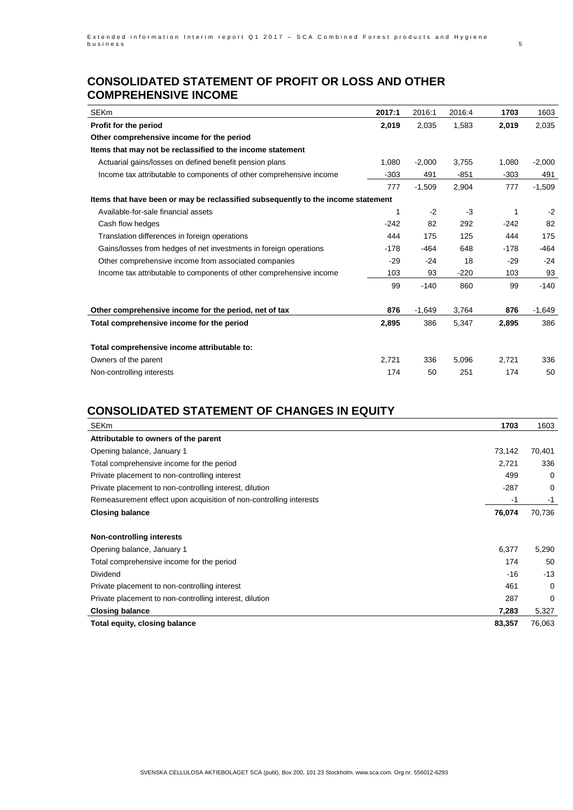#### **CONSOLIDATED STATEMENT OF PROFIT OR LOSS AND OTHER COMPREHENSIVE INCOME**

| <b>SEKm</b>                                                                      | 2017:1 | 2016:1   | 2016:4 | 1703   | 1603     |
|----------------------------------------------------------------------------------|--------|----------|--------|--------|----------|
| Profit for the period                                                            | 2,019  | 2,035    | 1,583  | 2,019  | 2,035    |
| Other comprehensive income for the period                                        |        |          |        |        |          |
| Items that may not be reclassified to the income statement                       |        |          |        |        |          |
| Actuarial gains/losses on defined benefit pension plans                          | 1,080  | $-2,000$ | 3,755  | 1,080  | $-2,000$ |
| Income tax attributable to components of other comprehensive income              | $-303$ | 491      | $-851$ | $-303$ | 491      |
|                                                                                  | 777    | $-1.509$ | 2,904  | 777    | $-1,509$ |
| Items that have been or may be reclassified subsequently to the income statement |        |          |        |        |          |
| Available-for-sale financial assets                                              | 1      | $-2$     | $-3$   | 1      | $-2$     |
| Cash flow hedges                                                                 | $-242$ | 82       | 292    | $-242$ | 82       |
| Translation differences in foreign operations                                    | 444    | 175      | 125    | 444    | 175      |
| Gains/losses from hedges of net investments in foreign operations                | $-178$ | -464     | 648    | $-178$ | $-464$   |
| Other comprehensive income from associated companies                             | $-29$  | $-24$    | 18     | $-29$  | $-24$    |
| Income tax attributable to components of other comprehensive income              | 103    | 93       | $-220$ | 103    | 93       |
|                                                                                  | 99     | $-140$   | 860    | 99     | $-140$   |
| Other comprehensive income for the period, net of tax                            | 876    | $-1,649$ | 3,764  | 876    | $-1,649$ |
| Total comprehensive income for the period                                        | 2,895  | 386      | 5,347  | 2,895  | 386      |
| Total comprehensive income attributable to:                                      |        |          |        |        |          |
| Owners of the parent                                                             | 2,721  | 336      | 5,096  | 2,721  | 336      |
| Non-controlling interests                                                        | 174    | 50       | 251    | 174    | 50       |
|                                                                                  |        |          |        |        |          |

## **CONSOLIDATED STATEMENT OF CHANGES IN EQUITY**

| <b>SEKm</b>                                                        | 1703   | 1603     |
|--------------------------------------------------------------------|--------|----------|
| Attributable to owners of the parent                               |        |          |
| Opening balance, January 1                                         | 73,142 | 70,401   |
| Total comprehensive income for the period                          | 2,721  | 336      |
| Private placement to non-controlling interest                      | 499    | 0        |
| Private placement to non-controlling interest, dilution            | $-287$ | 0        |
| Remeasurement effect upon acquisition of non-controlling interests | -1     | -1       |
| Closing balance                                                    | 76,074 | 70,736   |
|                                                                    |        |          |
| <b>Non-controlling interests</b>                                   |        |          |
| Opening balance, January 1                                         | 6,377  | 5,290    |
| Total comprehensive income for the period                          | 174    | 50       |
| Dividend                                                           | $-16$  | $-13$    |
| Private placement to non-controlling interest                      | 461    | $\Omega$ |
| Private placement to non-controlling interest, dilution            | 287    | 0        |
| Closing balance                                                    | 7,283  | 5,327    |
| Total equity, closing balance                                      | 83,357 | 76,063   |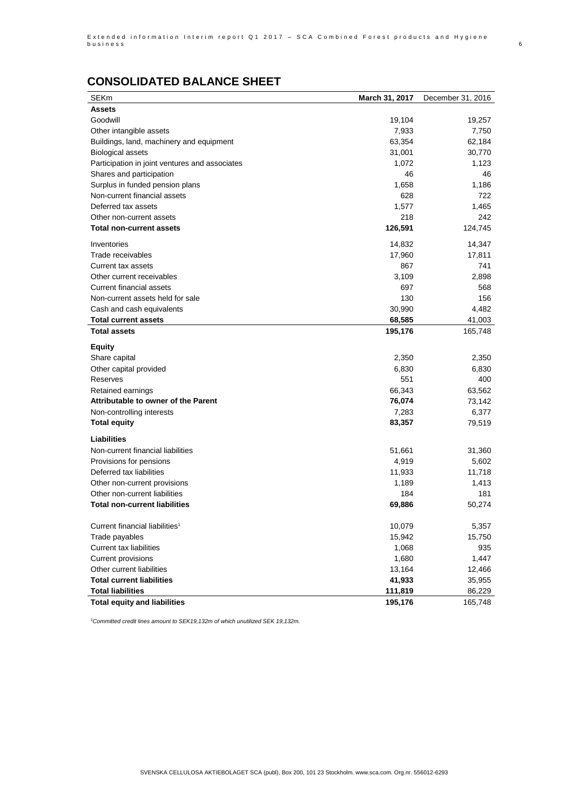## **CONSOLIDATED BALANCE SHEET**

| <b>SEKm</b>                                    | March 31, 2017 | December 31, 2016 |
|------------------------------------------------|----------------|-------------------|
| Assets                                         |                |                   |
| Goodwill                                       | 19,104         | 19,257            |
| Other intangible assets                        | 7,933          | 7,750             |
| Buildings, land, machinery and equipment       | 63,354         | 62,184            |
| <b>Biological assets</b>                       | 31,001         | 30,770            |
| Participation in joint ventures and associates | 1,072          | 1,123             |
| Shares and participation                       | 46             | 46                |
| Surplus in funded pension plans                | 1,658          | 1,186             |
| Non-current financial assets                   | 628            | 722               |
| Deferred tax assets                            | 1,577          | 1,465             |
| Other non-current assets                       | 218            | 242               |
| Total non-current assets                       | 126,591        | 124,745           |
| Inventories                                    | 14,832         | 14,347            |
| Trade receivables                              | 17,960         | 17,811            |
|                                                | 867            | 741               |
| Current tax assets                             |                |                   |
| Other current receivables                      | 3,109          | 2,898             |
| <b>Current financial assets</b>                | 697            | 568               |
| Non-current assets held for sale               | 130            | 156               |
| Cash and cash equivalents                      | 30,990         | 4,482             |
| Total current assets                           | 68,585         | 41,003            |
| <b>Total assets</b>                            | 195,176        | 165,748           |
| Equity                                         |                |                   |
| Share capital                                  | 2,350          | 2,350             |
| Other capital provided                         | 6,830          | 6,830             |
| Reserves                                       | 551            | 400               |
| Retained earnings                              | 66,343         | 63,562            |
| Attributable to owner of the Parent            | 76,074         | 73,142            |
| Non-controlling interests                      | 7,283          | 6,377             |
| Total equity                                   | 83,357         | 79,519            |
|                                                |                |                   |
| Liabilities                                    |                |                   |
| Non-current financial liabilities              | 51,661         | 31,360            |
| Provisions for pensions                        | 4,919          | 5,602             |
| Deferred tax liabilities                       | 11,933         | 11,718            |
| Other non-current provisions                   | 1,189          | 1,413             |
| Other non-current liabilities                  | 184            | 181               |
| Total non-current liabilities                  | 69,886         | 50,274            |
|                                                |                |                   |
| Current financial liabilities <sup>1</sup>     | 10,079         | 5,357             |
| Trade payables                                 | 15,942         | 15,750            |
| <b>Current tax liabilities</b>                 | 1,068          | 935               |
| Current provisions                             | 1,680          | 1,447             |
| Other current liabilities                      | 13,164         | 12,466            |
| Total current liabilities                      | 41,933         | 35,955            |
| <b>Total liabilities</b>                       | 111,819        | 86,229            |
| Total equity and liabilities                   | 195,176        | 165,748           |

*<sup>1</sup>Committed credit lines amount to SEK19,132m of which unutilized SEK 19,132m.*